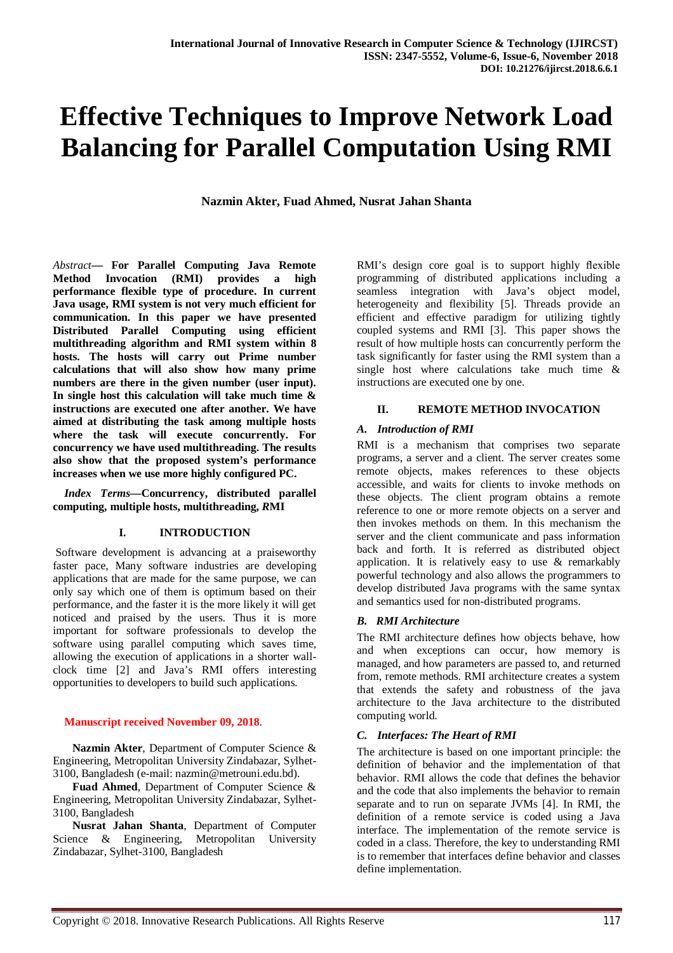# **Effective Techniques to Improve Network Load Balancing for Parallel Computation Using RMI**

**Nazmin Akter, Fuad Ahmed, Nusrat Jahan Shanta**

*Abstract***— For Parallel Computing Java Remote Method Invocation (RMI) provides a high performance flexible type of procedure. In current Java usage, RMI system is not very much efficient for communication. In this paper we have presented Distributed Parallel Computing using efficient multithreading algorithm and RMI system within 8 hosts. The hosts will carry out Prime number calculations that will also show how many prime numbers are there in the given number (user input). In single host this calculation will take much time & instructions are executed one after another. We have aimed at distributing the task among multiple hosts where the task will execute concurrently. For concurrency we have used multithreading. The results also show that the proposed system's performance increases when we use more highly configured PC.**

*Index Terms***—Concurrency, distributed parallel computing, multiple hosts, multithreading,** *R***MI**

#### **I. INTRODUCTION**

Software development is advancing at a praiseworthy faster pace, Many software industries are developing applications that are made for the same purpose, we can only say which one of them is optimum based on their performance, and the faster it is the more likely it will get noticed and praised by the users. Thus it is more important for software professionals to develop the software using parallel computing which saves time, allowing the execution of applications in a shorter wallclock time [2] and Java's RMI offers interesting opportunities to developers to build such applications.

#### **Manuscript received November 09, 2018**.

 **Nazmin Akter**, Department of Computer Science & Engineering, Metropolitan University Zindabazar, Sylhet-3100, Bangladesh (e-mail: nazmin@metrouni.edu.bd).

 **Fuad Ahmed**, Department of Computer Science & Engineering, Metropolitan University Zindabazar, Sylhet-3100, Bangladesh

 **Nusrat Jahan Shanta**, Department of Computer Science & Engineering, Metropolitan University Zindabazar, Sylhet-3100, Bangladesh

RMI's design core goal is to support highly flexible programming of distributed applications including a seamless integration with Java's object model, heterogeneity and flexibility [5]. Threads provide an efficient and effective paradigm for utilizing tightly coupled systems and RMI [3]. This paper shows the result of how multiple hosts can concurrently perform the task significantly for faster using the RMI system than a single host where calculations take much time & instructions are executed one by one.

#### **II. REMOTE METHOD INVOCATION**

#### *A. Introduction of RMI*

RMI is a mechanism that comprises two separate programs, a server and a client. The server creates some remote objects, makes references to these objects accessible, and waits for clients to invoke methods on these objects. The client program obtains a remote reference to one or more remote objects on a server and then invokes methods on them. In this mechanism the server and the client communicate and pass information back and forth. It is referred as distributed object application. It is relatively easy to use  $\&$  remarkably powerful technology and also allows the programmers to develop distributed Java programs with the same syntax and semantics used for non-distributed programs.

## *B. RMI Architecture*

The RMI architecture defines how objects behave, how and when exceptions can occur, how memory is managed, and how parameters are passed to, and returned from, remote methods. RMI architecture creates a system that extends the safety and robustness of the java architecture to the Java architecture to the distributed computing world.

## *C. Interfaces: The Heart of RMI*

The architecture is based on one important principle: the definition of behavior and the implementation of that behavior. RMI allows the code that defines the behavior and the code that also implements the behavior to remain separate and to run on separate JVMs [4]. In RMI, the definition of a remote service is coded using a Java interface. The implementation of the remote service is coded in a class. Therefore, the key to understanding RMI is to remember that interfaces define behavior and classes define implementation.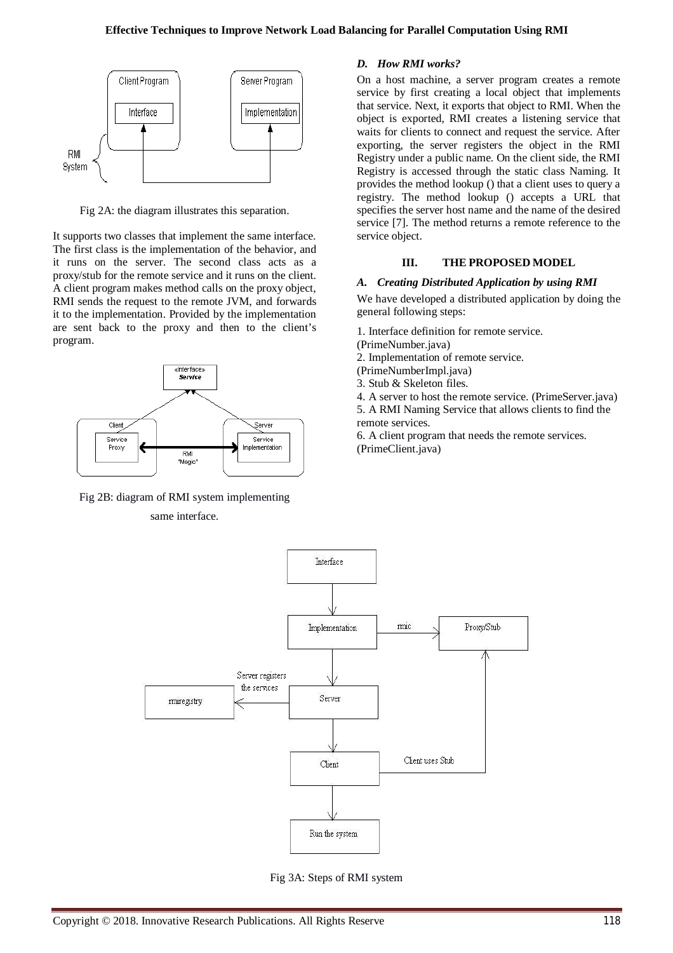

Fig 2A: the diagram illustrates this separation.

It supports two classes that implement the same interface. The first class is the implementation of the behavior, and it runs on the server. The second class acts as a proxy/stub for the remote service and it runs on the client. A client program makes method calls on the proxy object, RMI sends the request to the remote JVM, and forwards it to the implementation. Provided by the implementation are sent back to the proxy and then to the client's program.



Fig 2B: diagram of RMI system implementing

# same interface.

## *D. How RMI works?*

On a host machine, a server program creates a remote service by first creating a local object that implements that service. Next, it exports that object to RMI. When the object is exported, RMI creates a listening service that waits for clients to connect and request the service. After exporting, the server registers the object in the RMI Registry under a public name. On the client side, the RMI Registry is accessed through the static class Naming. It provides the method lookup () that a client uses to query a registry. The method lookup () accepts a URL that specifies the server host name and the name of the desired service [7]. The method returns a remote reference to the service object.

#### **III. THE PROPOSED MODEL**

#### *A. Creating Distributed Application by using RMI*

We have developed a distributed application by doing the general following steps:

1. Interface definition for remote service.

(PrimeNumber.java)

- 2. Implementation of remote service.
- (PrimeNumberImpl.java)
- 3. Stub & Skeleton files.

4. A server to host the remote service. (PrimeServer.java) 5. A RMI Naming Service that allows clients to find the

remote services. 6. A client program that needs the remote services. (PrimeClient.java)



Fig 3A: Steps of RMI system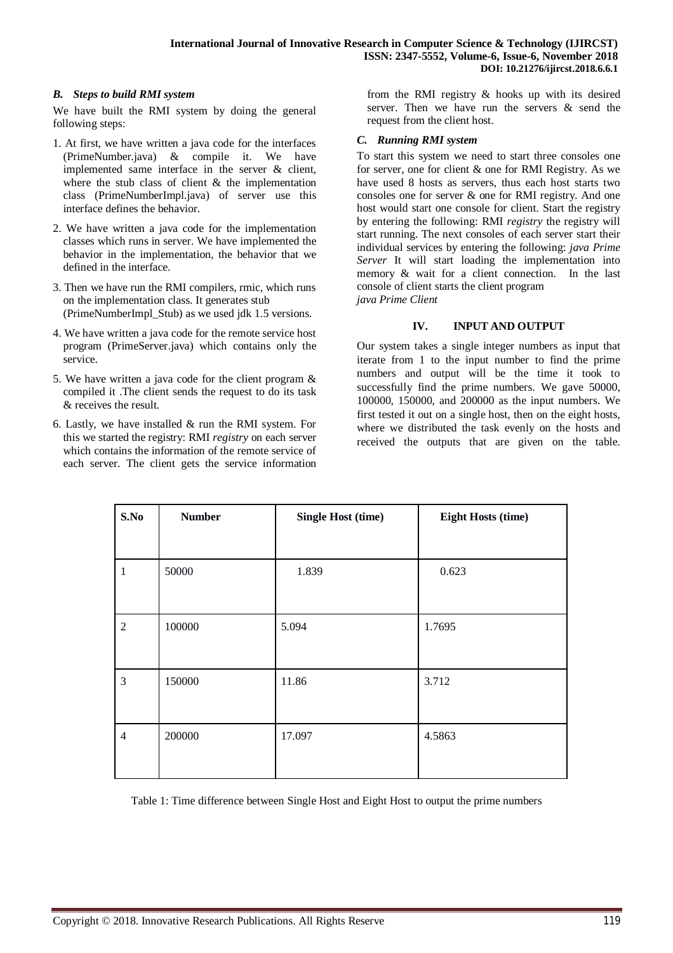## *B. Steps to build RMI system*

We have built the RMI system by doing the general following steps:

- 1. At first, we have written a java code for the interfaces (PrimeNumber.java) & compile it. We have implemented same interface in the server & client, where the stub class of client  $\&$  the implementation class (PrimeNumberImpl.java) of server use this interface defines the behavior.
- 2. We have written a java code for the implementation classes which runs in server. We have implemented the behavior in the implementation, the behavior that we defined in the interface.
- 3. Then we have run the RMI compilers, rmic, which runs on the implementation class. It generates stub (PrimeNumberImpl\_Stub) as we used jdk 1.5 versions.
- 4. We have written a java code for the remote service host program (PrimeServer.java) which contains only the service.
- 5. We have written a java code for the client program & compiled it .The client sends the request to do its task & receives the result.
- 6. Lastly, we have installed & run the RMI system. For this we started the registry: RMI *registry* on each server which contains the information of the remote service of each server. The client gets the service information

from the RMI registry & hooks up with its desired server. Then we have run the servers & send the request from the client host.

## *C. Running RMI system*

To start this system we need to start three consoles one for server, one for client & one for RMI Registry. As we have used 8 hosts as servers, thus each host starts two consoles one for server & one for RMI registry. And one host would start one console for client. Start the registry by entering the following: RMI *registry* the registry will start running. The next consoles of each server start their individual services by entering the following: *java Prime Server* It will start loading the implementation into memory & wait for a client connection. In the last console of client starts the client program *java Prime Client*

## **IV. INPUT AND OUTPUT**

Our system takes a single integer numbers as input that iterate from 1 to the input number to find the prime numbers and output will be the time it took to successfully find the prime numbers. We gave 50000, 100000, 150000, and 200000 as the input numbers. We first tested it out on a single host, then on the eight hosts, where we distributed the task evenly on the hosts and received the outputs that are given on the table.

| S.No           | <b>Number</b> | <b>Single Host (time)</b> | <b>Eight Hosts (time)</b> |
|----------------|---------------|---------------------------|---------------------------|
|                |               |                           |                           |
| $\mathbf{1}$   | 50000         | 1.839                     | 0.623                     |
|                |               |                           |                           |
| $\overline{2}$ | 100000        | 5.094                     | 1.7695                    |
|                |               |                           |                           |
| 3              | 150000        | 11.86                     | 3.712                     |
|                |               |                           |                           |
| 4              | 200000        | 17.097                    | 4.5863                    |
|                |               |                           |                           |

Table 1: Time difference between Single Host and Eight Host to output the prime numbers